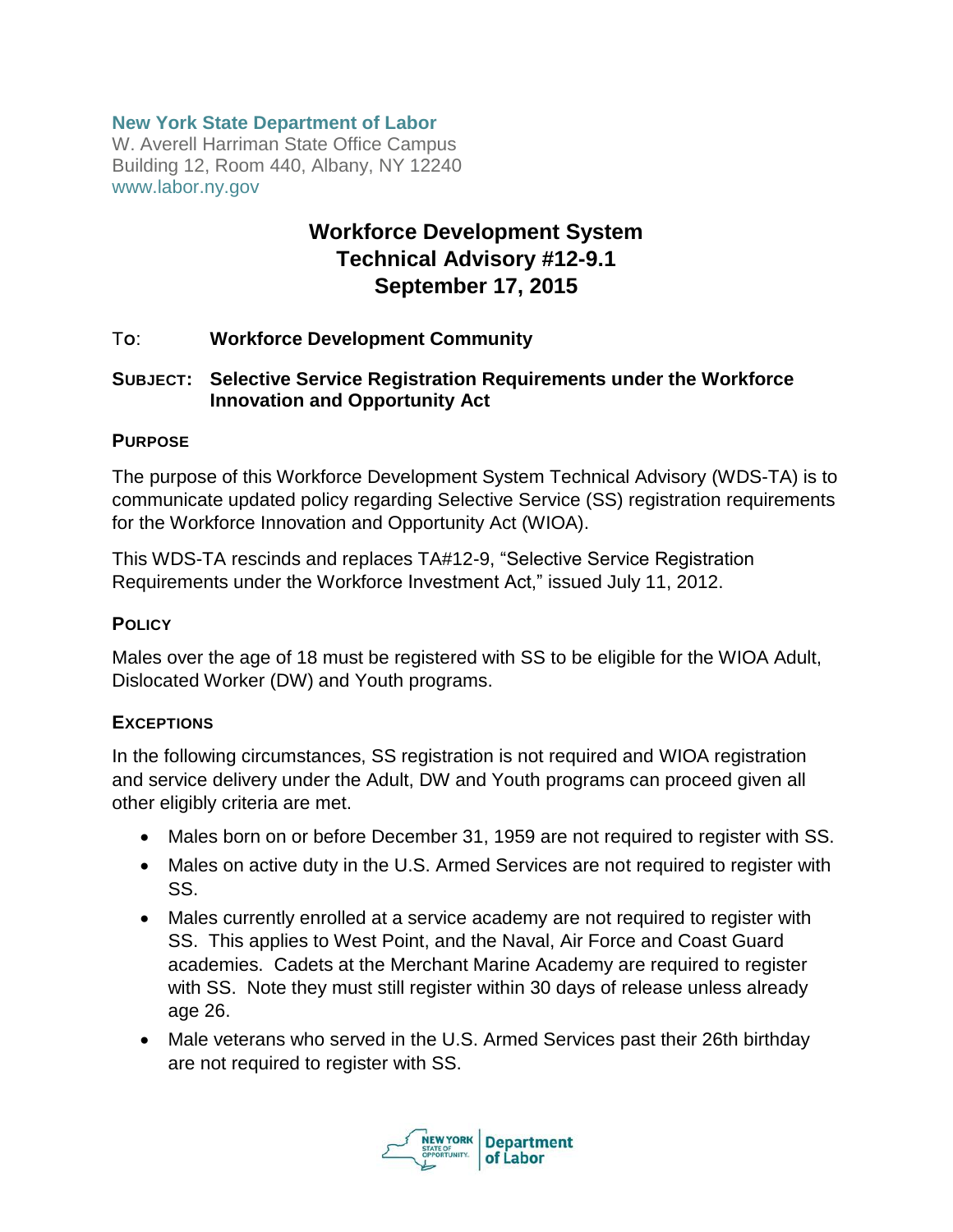### **New York State Department of Labor**

W. Averell Harriman State Office Campus Building 12, Room 440, Albany, NY 12240 www.labor.ny.gov

# **Workforce Development System Technical Advisory #12-9.1 September 17, 2015**

#### T**O**: **Workforce Development Community**

### **SUBJECT: Selective Service Registration Requirements under the Workforce Innovation and Opportunity Act**

#### **PURPOSE**

The purpose of this Workforce Development System Technical Advisory (WDS-TA) is to communicate updated policy regarding Selective Service (SS) registration requirements for the Workforce Innovation and Opportunity Act (WIOA).

This WDS-TA rescinds and replaces TA#12-9, "Selective Service Registration Requirements under the Workforce Investment Act," issued July 11, 2012.

#### **POLICY**

Males over the age of 18 must be registered with SS to be eligible for the WIOA Adult, Dislocated Worker (DW) and Youth programs.

#### **EXCEPTIONS**

In the following circumstances, SS registration is not required and WIOA registration and service delivery under the Adult, DW and Youth programs can proceed given all other eligibly criteria are met.

- Males born on or before December 31, 1959 are not required to register with SS.
- Males on active duty in the U.S. Armed Services are not required to register with SS.
- Males currently enrolled at a service academy are not required to register with SS. This applies to West Point, and the Naval, Air Force and Coast Guard academies. Cadets at the Merchant Marine Academy are required to register with SS. Note they must still register within 30 days of release unless already age 26.
- Male veterans who served in the U.S. Armed Services past their 26th birthday are not required to register with SS.

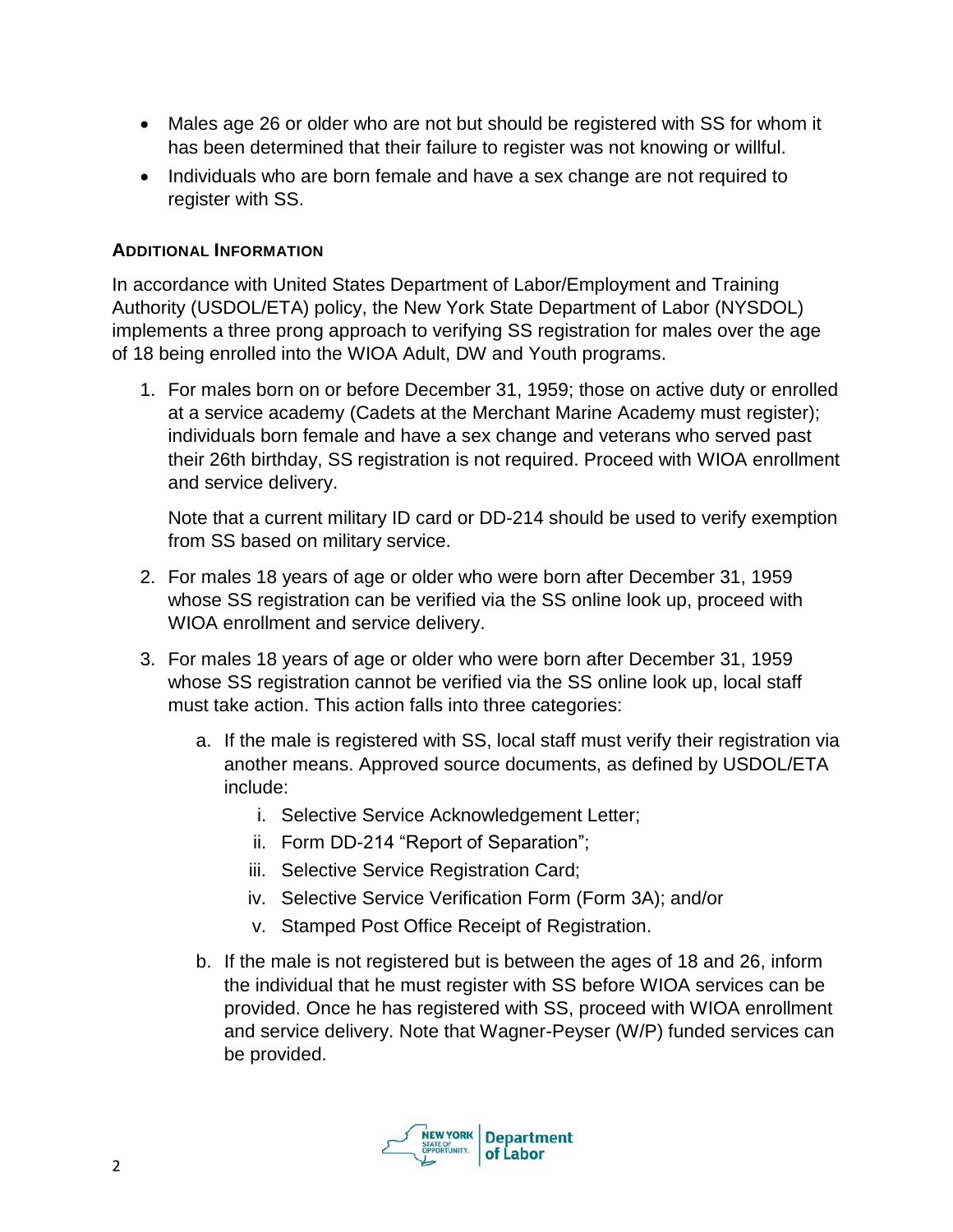- Males age 26 or older who are not but should be registered with SS for whom it has been determined that their failure to register was not knowing or willful.
- Individuals who are born female and have a sex change are not required to register with SS.

## **ADDITIONAL INFORMATION**

In accordance with United States Department of Labor/Employment and Training Authority (USDOL/ETA) policy, the New York State Department of Labor (NYSDOL) implements a three prong approach to verifying SS registration for males over the age of 18 being enrolled into the WIOA Adult, DW and Youth programs.

1. For males born on or before December 31, 1959; those on active duty or enrolled at a service academy (Cadets at the Merchant Marine Academy must register); individuals born female and have a sex change and veterans who served past their 26th birthday, SS registration is not required. Proceed with WIOA enrollment and service delivery.

Note that a current military ID card or DD-214 should be used to verify exemption from SS based on military service.

- 2. For males 18 years of age or older who were born after December 31, 1959 whose SS registration can be verified via the SS online look up, proceed with WIOA enrollment and service delivery.
- 3. For males 18 years of age or older who were born after December 31, 1959 whose SS registration cannot be verified via the SS online look up, local staff must take action. This action falls into three categories:
	- a. If the male is registered with SS, local staff must verify their registration via another means. Approved source documents, as defined by USDOL/ETA include:
		- i. Selective Service Acknowledgement Letter;
		- ii. Form DD-214 "Report of Separation";
		- iii. Selective Service Registration Card;
		- iv. Selective Service Verification Form (Form 3A); and/or
		- v. Stamped Post Office Receipt of Registration.
	- b. If the male is not registered but is between the ages of 18 and 26, inform the individual that he must register with SS before WIOA services can be provided. Once he has registered with SS, proceed with WIOA enrollment and service delivery. Note that Wagner-Peyser (W/P) funded services can be provided.

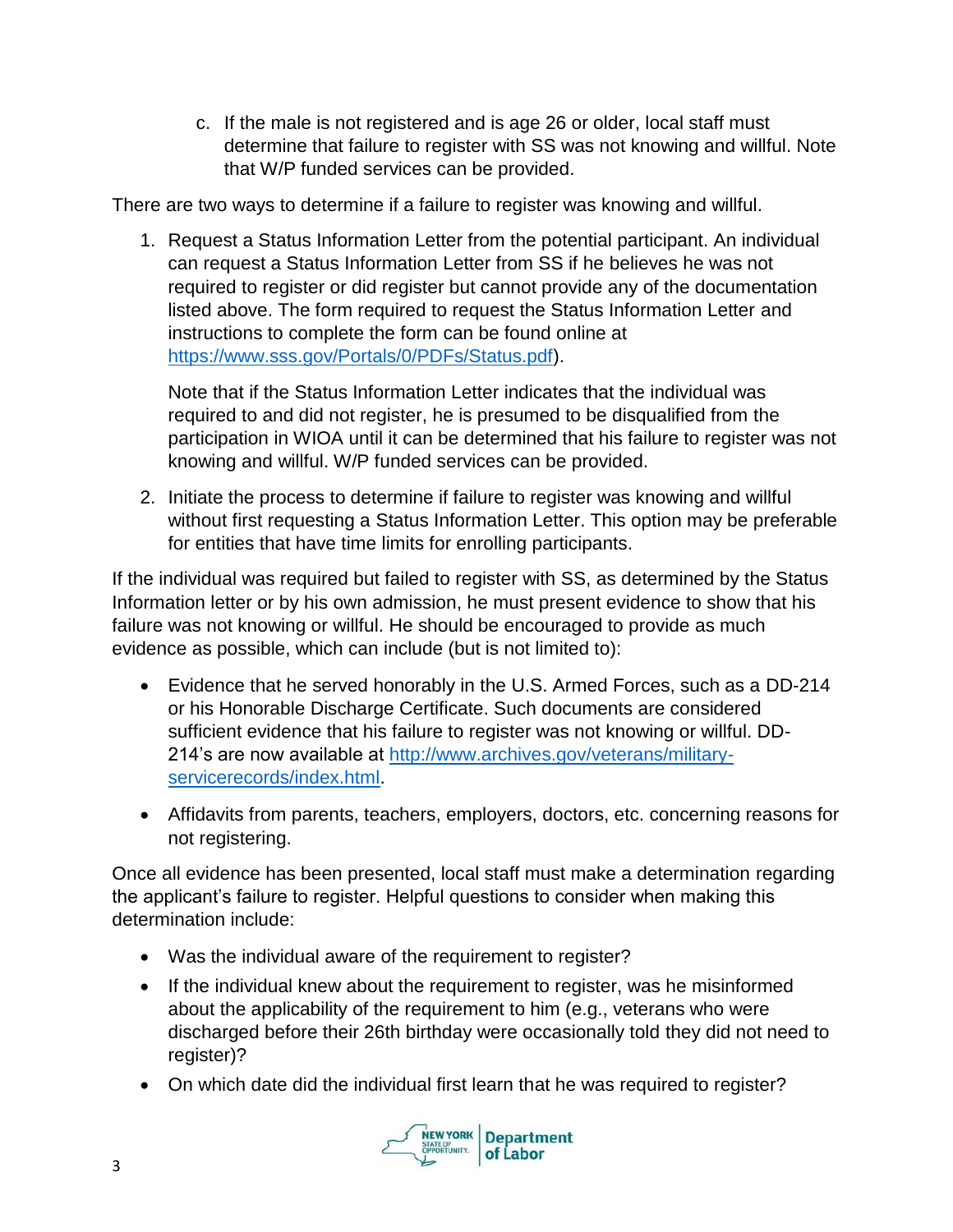c. If the male is not registered and is age 26 or older, local staff must determine that failure to register with SS was not knowing and willful. Note that W/P funded services can be provided.

There are two ways to determine if a failure to register was knowing and willful.

1. Request a Status Information Letter from the potential participant. An individual can request a Status Information Letter from SS if he believes he was not required to register or did register but cannot provide any of the documentation listed above. The form required to request the Status Information Letter and instructions to complete the form can be found online at [https://www.sss.gov/Portals/0/PDFs/Status.pdf\)](https://www.sss.gov/Portals/0/PDFs/Status.pdf).

Note that if the Status Information Letter indicates that the individual was required to and did not register, he is presumed to be disqualified from the participation in WIOA until it can be determined that his failure to register was not knowing and willful. W/P funded services can be provided.

2. Initiate the process to determine if failure to register was knowing and willful without first requesting a Status Information Letter. This option may be preferable for entities that have time limits for enrolling participants.

If the individual was required but failed to register with SS, as determined by the Status Information letter or by his own admission, he must present evidence to show that his failure was not knowing or willful. He should be encouraged to provide as much evidence as possible, which can include (but is not limited to):

- Evidence that he served honorably in the U.S. Armed Forces, such as a DD-214 or his Honorable Discharge Certificate. Such documents are considered sufficient evidence that his failure to register was not knowing or willful. DD-214's are now available at [http://www.archives.gov/veterans/military](http://www.archives.gov/veterans/military-servicerecords/index.html)[servicerecords/index.html.](http://www.archives.gov/veterans/military-servicerecords/index.html)
- Affidavits from parents, teachers, employers, doctors, etc. concerning reasons for not registering.

Once all evidence has been presented, local staff must make a determination regarding the applicant's failure to register. Helpful questions to consider when making this determination include:

- Was the individual aware of the requirement to register?
- If the individual knew about the requirement to register, was he misinformed about the applicability of the requirement to him (e.g., veterans who were discharged before their 26th birthday were occasionally told they did not need to register)?
- On which date did the individual first learn that he was required to register?